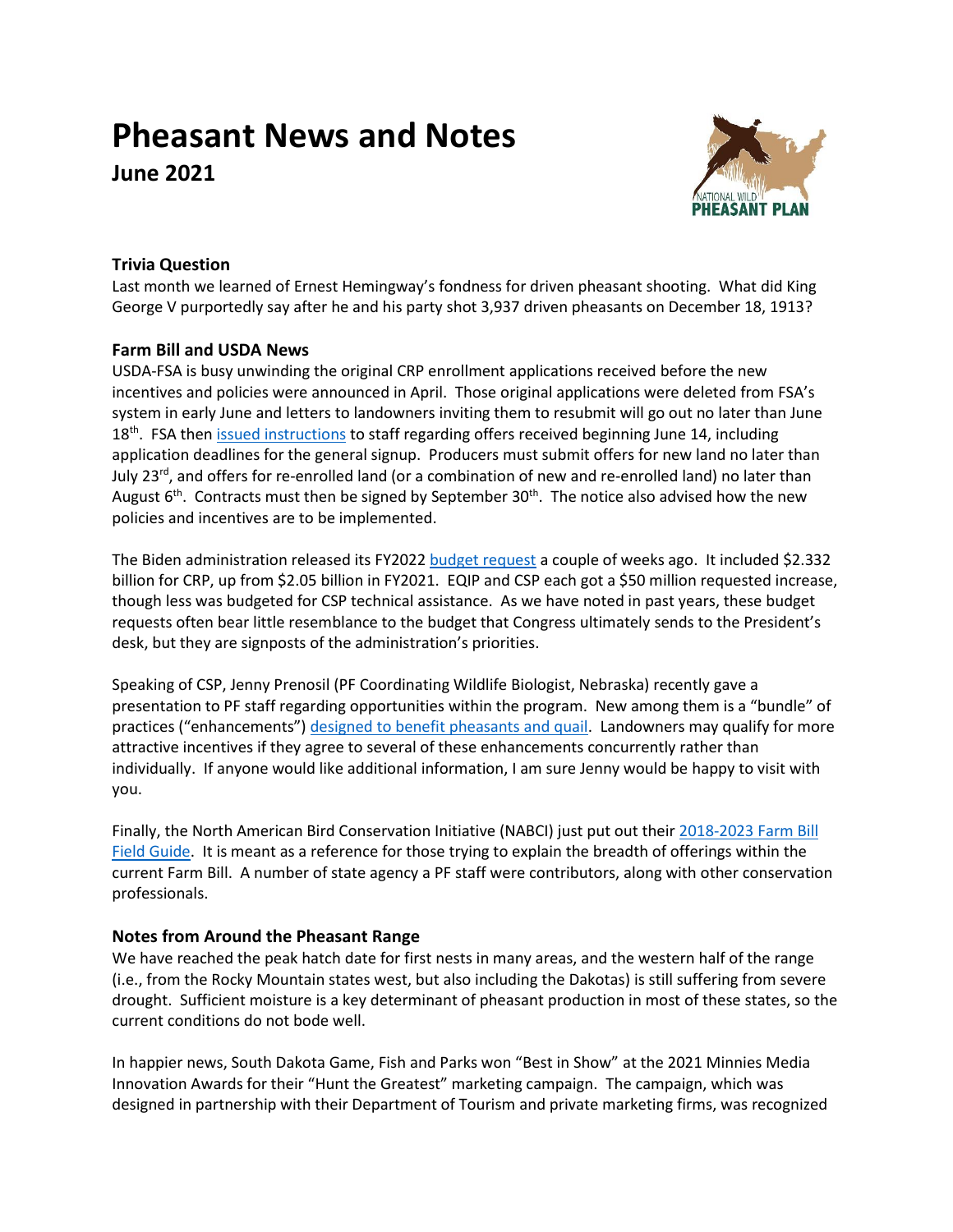# **Pheasant News and Notes**

**June 2021**



## **Trivia Question**

Last month we learned of Ernest Hemingway's fondness for driven pheasant shooting. What did King George V purportedly say after he and his party shot 3,937 driven pheasants on December 18, 1913?

## **Farm Bill and USDA News**

USDA-FSA is busy unwinding the original CRP enrollment applications received before the new incentives and policies were announced in April. Those original applications were deleted from FSA's system in early June and letters to landowners inviting them to resubmit will go out no later than June 18<sup>th</sup>. FSA then **issued instructions** to staff regarding offers received beginning June 14, including application deadlines for the general signup. Producers must submit offers for new land no later than July 23<sup>rd</sup>, and offers for re-enrolled land (or a combination of new and re-enrolled land) no later than August  $6<sup>th</sup>$ . Contracts must then be signed by September 30<sup>th</sup>. The notice also advised how the new policies and incentives are to be implemented.

The Biden administration released its FY2022 [budget request](https://www.dtnpf.com/agriculture/web/ag/news/world-policy/article/2021/05/28/biden-proposes-big-budget-usda-moves) a couple of weeks ago. It included \$2.332 billion for CRP, up from \$2.05 billion in FY2021. EQIP and CSP each got a \$50 million requested increase, though less was budgeted for CSP technical assistance. As we have noted in past years, these budget requests often bear little resemblance to the budget that Congress ultimately sends to the President's desk, but they are signposts of the administration's priorities.

Speaking of CSP, Jenny Prenosil (PF Coordinating Wildlife Biologist, Nebraska) recently gave a presentation to PF staff regarding opportunities within the program. New among them is a "bundle" of practices ("enhancements") [designed to benefit pheasants and quail.](file:///C:/Users/STaylor/Downloads/B000CPL23_May_2020.pdf) Landowners may qualify for more attractive incentives if they agree to several of these enhancements concurrently rather than individually. If anyone would like additional information, I am sure Jenny would be happy to visit with you.

Finally, the North American Bird Conservation Initiative (NABCI) just put out their [2018-2023](https://nabci-us.org/wp-content/uploads/2021/06/2018-2023-Farm-Bill-Guide-FINAL-LOW-RES-FULL-SPREADS-052621.pdf) Farm Bill [Field Guide.](https://nabci-us.org/wp-content/uploads/2021/06/2018-2023-Farm-Bill-Guide-FINAL-LOW-RES-FULL-SPREADS-052621.pdf) It is meant as a reference for those trying to explain the breadth of offerings within the current Farm Bill. A number of state agency a PF staff were contributors, along with other conservation professionals.

## **Notes from Around the Pheasant Range**

We have reached the peak hatch date for first nests in many areas, and the western half of the range (i.e., from the Rocky Mountain states west, but also including the Dakotas) is still suffering from severe drought. Sufficient moisture is a key determinant of pheasant production in most of these states, so the current conditions do not bode well.

In happier news, South Dakota Game, Fish and Parks won "Best in Show" at the 2021 Minnies Media Innovation Awards for their "Hunt the Greatest" marketing campaign. The campaign, which was designed in partnership with their Department of Tourism and private marketing firms, was recognized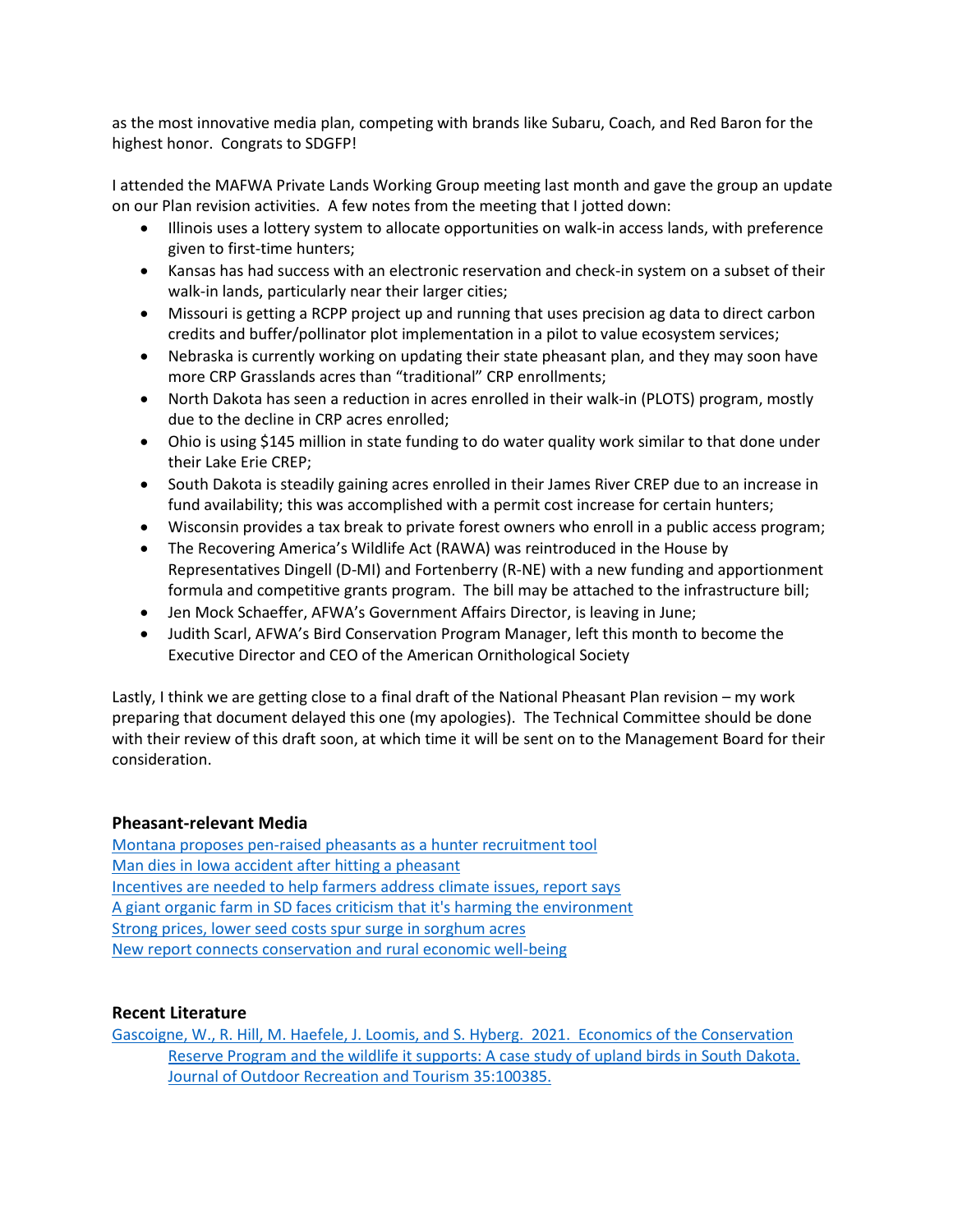as the most innovative media plan, competing with brands like Subaru, Coach, and Red Baron for the highest honor. Congrats to SDGFP!

I attended the MAFWA Private Lands Working Group meeting last month and gave the group an update on our Plan revision activities. A few notes from the meeting that I jotted down:

- Illinois uses a lottery system to allocate opportunities on walk-in access lands, with preference given to first-time hunters;
- Kansas has had success with an electronic reservation and check-in system on a subset of their walk-in lands, particularly near their larger cities;
- Missouri is getting a RCPP project up and running that uses precision ag data to direct carbon credits and buffer/pollinator plot implementation in a pilot to value ecosystem services;
- Nebraska is currently working on updating their state pheasant plan, and they may soon have more CRP Grasslands acres than "traditional" CRP enrollments;
- North Dakota has seen a reduction in acres enrolled in their walk-in (PLOTS) program, mostly due to the decline in CRP acres enrolled;
- Ohio is using \$145 million in state funding to do water quality work similar to that done under their Lake Erie CREP;
- South Dakota is steadily gaining acres enrolled in their James River CREP due to an increase in fund availability; this was accomplished with a permit cost increase for certain hunters;
- Wisconsin provides a tax break to private forest owners who enroll in a public access program;
- The Recovering America's Wildlife Act (RAWA) was reintroduced in the House by Representatives Dingell (D-MI) and Fortenberry (R-NE) with a new funding and apportionment formula and competitive grants program. The bill may be attached to the infrastructure bill;
- Jen Mock Schaeffer, AFWA's Government Affairs Director, is leaving in June;
- Judith Scarl, AFWA's Bird Conservation Program Manager, left this month to become the Executive Director and CEO of the American Ornithological Society

Lastly, I think we are getting close to a final draft of the National Pheasant Plan revision – my work preparing that document delayed this one (my apologies). The Technical Committee should be done with their review of this draft soon, at which time it will be sent on to the Management Board for their consideration.

#### **Pheasant-relevant Media**

[Montana proposes pen-raised pheasants as a hunter recruitment tool](https://www.outdoorlife.com/conservation/montana-pen-raised-pheasants-hunter-recruitment/) [Man dies in Iowa accident after hitting a pheasant](https://www.radioiowa.com/2021/06/04/man-dies-in-greene-county-accident-after-hitting-a-pheasant/) [Incentives are needed to help farmers address climate issues, report says](https://www.agweb.com/news/policy/politics/incentives-are-needed-help-farmers-address-climate-issues-report-says?fbclid=IwAR2eHMyqTd8_zJ09_rXfaCwmSDYP1b_oLfiuY5KBZj-gSRAn4WFGAoHss_Y) [A giant organic farm in SD faces criticism that it's harming the environment](https://www.npr.org/2021/05/03/989984124/a-giant-organic-farm-faces-criticism-that-its-harming-the-environment) [Strong prices, lower seed costs spur surge in sorghum acres](https://www.agweb.com/news/crops/crop-production/strong-prices-lower-seed-costs-spur-surge-sorghum-acres) [New report connects conservation and rural economic well-being](https://www.trcp.org/2021/05/27/new-report-connects-conservation-rural-economic-well/?emci=8d789fe0-55c5-eb11-a7ad-501ac57b8fa7&emdi=1908d1bb-71c5-eb11-a7ad-501ac57b8fa7&ceid=1730541)

#### **Recent Literature**

[Gascoigne, W., R. Hill, M. Haefele, J. Loomis, and S. Hyberg. 2021. Economics of the Conservation](https://doi.org/10.1016/j.jort.2021.100385)  Reserve Program and the wildlife it [supports: A case study of upland birds in South Dakota.](https://doi.org/10.1016/j.jort.2021.100385)  [Journal of Outdoor Recreation and Tourism 35:100385.](https://doi.org/10.1016/j.jort.2021.100385)